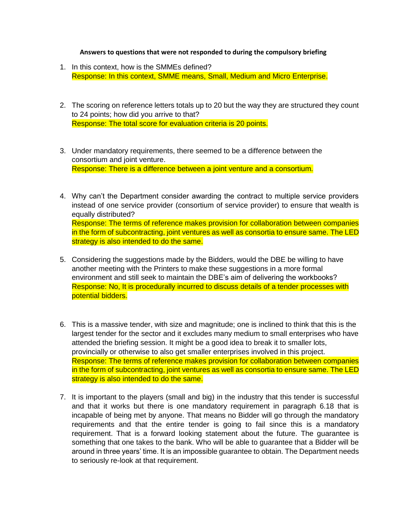## **Answers to questions that were not responded to during the compulsory briefing**

- 1. In this context, how is the SMMEs defined? Response: In this context, SMME means, Small, Medium and Micro Enterprise.
- 2. The scoring on reference letters totals up to 20 but the way they are structured they count to 24 points; how did you arrive to that? Response: The total score for evaluation criteria is 20 points.
- 3. Under mandatory requirements, there seemed to be a difference between the consortium and joint venture. Response: There is a difference between a joint venture and a consortium.
- 4. Why can't the Department consider awarding the contract to multiple service providers instead of one service provider (consortium of service provider) to ensure that wealth is equally distributed? Response: The terms of reference makes provision for collaboration between companies in the form of subcontracting, joint ventures as well as consortia to ensure same. The LED strategy is also intended to do the same.
- 5. Considering the suggestions made by the Bidders, would the DBE be willing to have another meeting with the Printers to make these suggestions in a more formal environment and still seek to maintain the DBE's aim of delivering the workbooks? Response: No, It is procedurally incurred to discuss details of a tender processes with potential bidders.
- 6. This is a massive tender, with size and magnitude; one is inclined to think that this is the largest tender for the sector and it excludes many medium to small enterprises who have attended the briefing session. It might be a good idea to break it to smaller lots, provincially or otherwise to also get smaller enterprises involved in this project. Response: The terms of reference makes provision for collaboration between companies in the form of subcontracting, joint ventures as well as consortia to ensure same. The LED strategy is also intended to do the same.
- 7. It is important to the players (small and big) in the industry that this tender is successful and that it works but there is one mandatory requirement in paragraph 6.18 that is incapable of being met by anyone. That means no Bidder will go through the mandatory requirements and that the entire tender is going to fail since this is a mandatory requirement. That is a forward looking statement about the future. The guarantee is something that one takes to the bank. Who will be able to guarantee that a Bidder will be around in three years' time. It is an impossible guarantee to obtain. The Department needs to seriously re-look at that requirement.